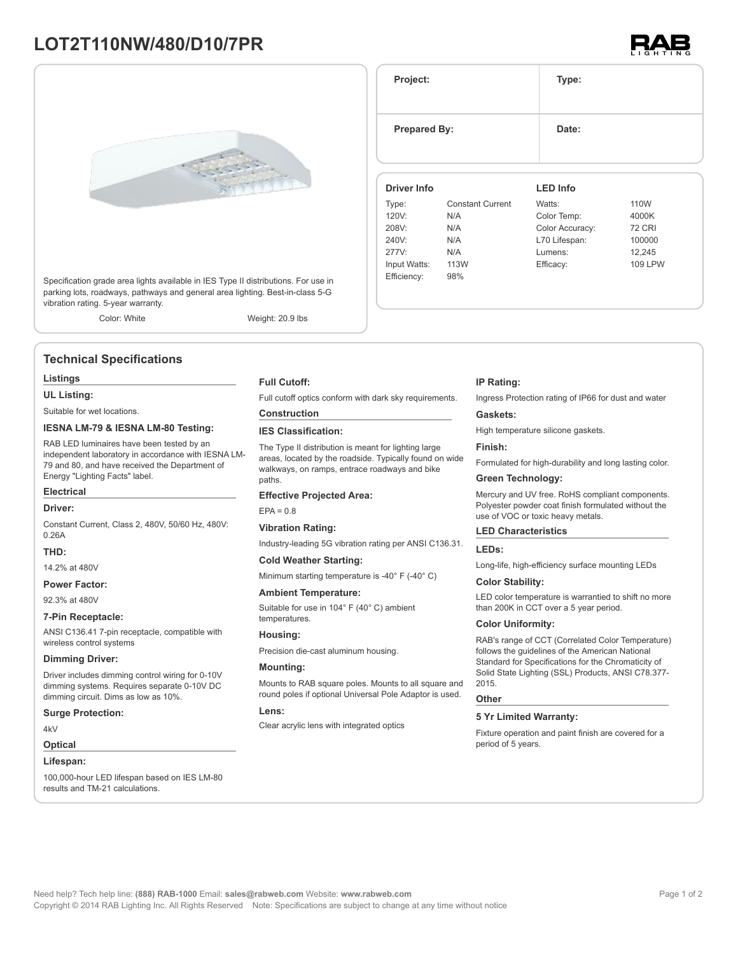# **LOT2T110NW/480/D10/7PR**





Specification grade area lights available in IES Type II distributions. For use in parking lots, roadways, pathways and general area lighting. Best-in-class 5-G vibration rating. 5-year warranty.

Color: White Weight: 20.9 lbs

# **Technical Specifications**

### **Listings**

**UL Listing:**

Suitable for wet locations.

#### **IESNA LM-79 & IESNA LM-80 Testing:**

RAB LED luminaires have been tested by an independent laboratory in accordance with IESNA LM-79 and 80, and have received the Department of Energy "Lighting Facts" label.

# **Electrical**

**Driver:**

Constant Current, Class 2, 480V, 50/60 Hz, 480V: 0.26A

# **THD:**

14.2% at 480V

# **Power Factor:**

92.3% at 480V

#### **7-Pin Receptacle:**

ANSI C136.41 7-pin receptacle, compatible with wireless control systems

#### **Dimming Driver:**

Driver includes dimming control wiring for 0-10V dimming systems. Requires separate 0-10V DC dimming circuit. Dims as low as 10%.

#### **Surge Protection:**

4kV

### **Optical**

**Lifespan:**

100,000-hour LED lifespan based on IES LM-80 results and TM-21 calculations.

**Full Cutoff:**

Full cutoff optics conform with dark sky requirements.

# **Construction**

**IES Classification:**

The Type II distribution is meant for lighting large areas, located by the roadside. Typically found on wide walkways, on ramps, entrace roadways and bike paths

#### **Effective Projected Area:**

 $FPA = 0.8$ 

#### **Vibration Rating:**

Industry-leading 5G vibration rating per ANSI C136.31.

#### **Cold Weather Starting:**

Minimum starting temperature is -40° F (-40° C)

#### **Ambient Temperature:**

Suitable for use in 104° F (40° C) ambient temperatures.

# **Housing:**

Precision die-cast aluminum housing.

# **Mounting:**

Mounts to RAB square poles. Mounts to all square and round poles if optional Universal Pole Adaptor is used.

#### **Lens:**

Clear acrylic lens with integrated optics

#### **IP Rating:**

**Project: Type:**

**Prepared By:** Date:

**Driver Info**

120V: N/A 208V: N/A 240V: N/A 277V: N/A Input Watts: 113W Efficiency: 98%

Type: Constant Current

Ingress Protection rating of IP66 for dust and water

**LED Info**

Watts: 110W Color Temp: 4000K Color Accuracy: 72 CRI L70 Lifespan: 100000 Lumens: 12,245 Efficacy: 109 LPW

#### **Gaskets:**

High temperature silicone gaskets.

#### **Finish:**

Formulated for high-durability and long lasting color.

### **Green Technology:**

Mercury and UV free. RoHS compliant components. Polyester powder coat finish formulated without the use of VOC or toxic heavy metals.

## **LED Characteristics**

#### **LEDs:**

Long-life, high-efficiency surface mounting LEDs

#### **Color Stability:**

LED color temperature is warrantied to shift no more than 200K in CCT over a 5 year period.

#### **Color Uniformity:**

RAB's range of CCT (Correlated Color Temperature) follows the guidelines of the American National Standard for Specifications for the Chromaticity of Solid State Lighting (SSL) Products, ANSI C78.377- 2015.

#### **Other**

# **5 Yr Limited Warranty:**

Fixture operation and paint finish are covered for a period of 5 years.